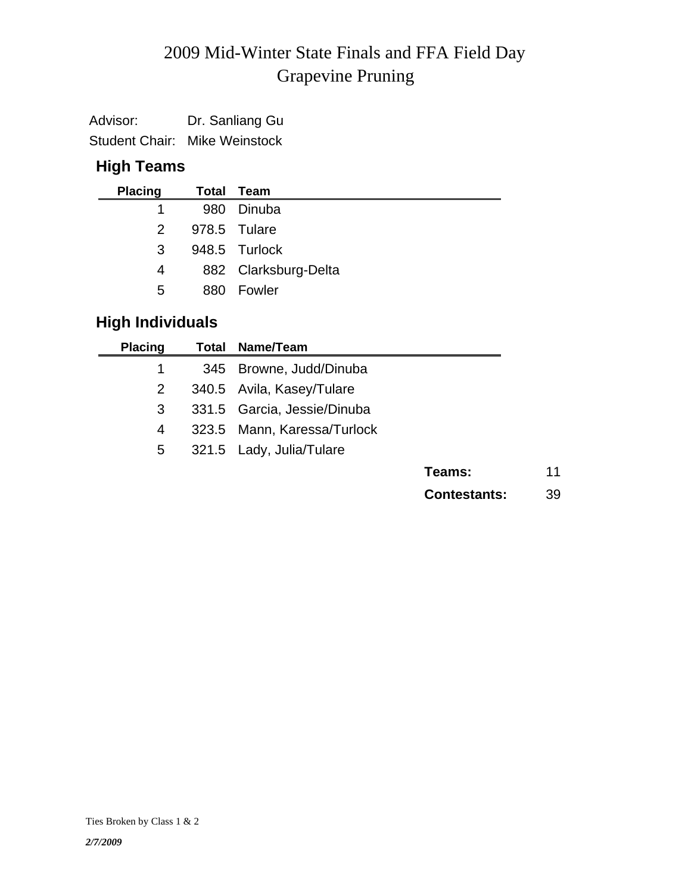# Grapevine Pruning 2009 Mid-Winter State Finals and FFA Field Day

| Advisor: | Dr. Sanliang Gu                      |
|----------|--------------------------------------|
|          | <b>Student Chair: Mike Weinstock</b> |

## **High Teams**

| <b>Placing</b> |     | Total Team           |
|----------------|-----|----------------------|
|                | 980 | Dinuba               |
| 2              |     | 978.5 Tulare         |
| 3              |     | 948.5 Turlock        |
| 4              |     | 882 Clarksburg-Delta |
| 5.             | 880 | Fowler               |

## **High Individuals**

| <b>Placing</b> | <b>Total Name/Team</b>      |                     |    |
|----------------|-----------------------------|---------------------|----|
| 1              | 345 Browne, Judd/Dinuba     |                     |    |
| $\overline{2}$ | 340.5 Avila, Kasey/Tulare   |                     |    |
| 3              | 331.5 Garcia, Jessie/Dinuba |                     |    |
| 4              | 323.5 Mann, Karessa/Turlock |                     |    |
| 5              | 321.5 Lady, Julia/Tulare    |                     |    |
|                |                             | Teams:              | 11 |
|                |                             | <b>Contestants:</b> | 39 |
|                |                             |                     |    |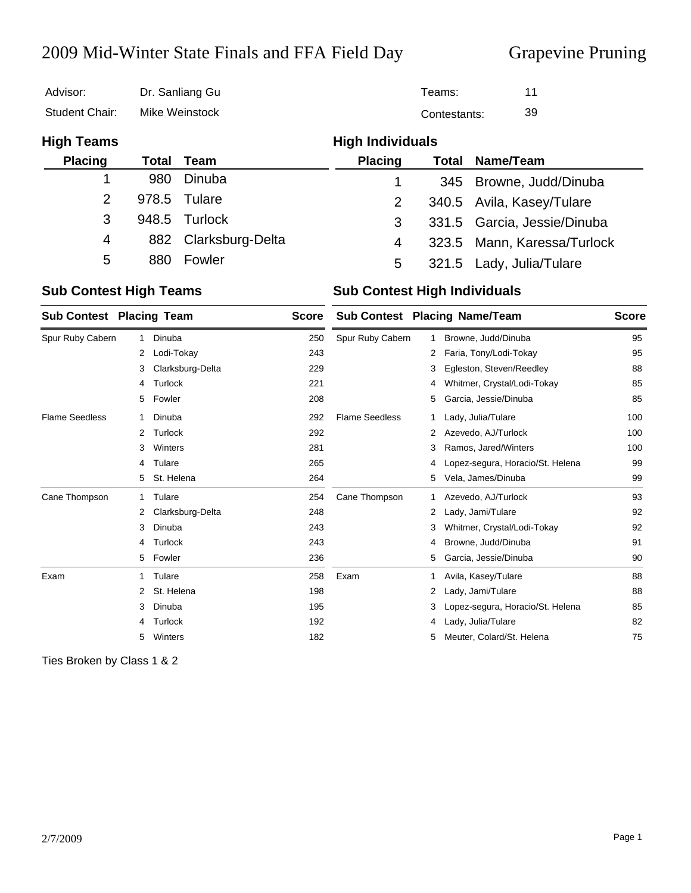## 2009 Mid-Winter State Finals and FFA Field Day Grapevine Pruning

| Advisor:          | Dr. Sanliang Gu |                  |                         | Teams:       |                             |  |
|-------------------|-----------------|------------------|-------------------------|--------------|-----------------------------|--|
| Student Chair:    | Mike Weinstock  |                  |                         | Contestants: |                             |  |
| <b>High Teams</b> |                 |                  | <b>High Individuals</b> |              |                             |  |
| <b>Placing</b>    | Total           | Team             | <b>Placing</b>          | Total        | Name/Team                   |  |
|                   | 980             | Dinuba           | 1                       | 345          | Browne, Judd/Dinuba         |  |
| $\overline{2}$    | 978.5           | Tulare           | 2                       |              | 340.5 Avila, Kasey/Tulare   |  |
| 3                 | 948.5           | Turlock          | 3                       |              | 331.5 Garcia, Jessie/Dinuba |  |
| 4                 | 882             | Clarksburg-Delta | 4                       | 323.5        | Mann, Karessa/Turlock       |  |
| 5                 | 880             | Fowler           | 5                       | 321.5        | Lady, Julia/Tulare          |  |
|                   |                 |                  |                         |              |                             |  |

### **Sub Contest High Teams Sub Contest High Individuals**

| <b>Sub Contest Placing Team</b> |   |                  | <b>Score</b> |                       |    | Sub Contest Placing Name/Team    | <b>Score</b> |
|---------------------------------|---|------------------|--------------|-----------------------|----|----------------------------------|--------------|
| Spur Ruby Cabern                |   | Dinuba           | 250          | Spur Ruby Cabern      | 1. | Browne, Judd/Dinuba              | 95           |
|                                 | 2 | Lodi-Tokay       | 243          |                       | 2  | Faria, Tony/Lodi-Tokay           | 95           |
|                                 | 3 | Clarksburg-Delta | 229          |                       | 3  | Egleston, Steven/Reedley         | 88           |
|                                 | 4 | Turlock          | 221          |                       | 4  | Whitmer, Crystal/Lodi-Tokay      | 85           |
|                                 | 5 | Fowler           | 208          |                       | 5  | Garcia, Jessie/Dinuba            | 85           |
| <b>Flame Seedless</b>           |   | Dinuba           | 292          | <b>Flame Seedless</b> | 1  | Lady, Julia/Tulare               | 100          |
|                                 | 2 | Turlock          | 292          |                       | 2  | Azevedo, AJ/Turlock              | 100          |
|                                 | 3 | Winters          | 281          |                       | 3  | Ramos, Jared/Winters             | 100          |
|                                 | 4 | Tulare           | 265          |                       | 4  | Lopez-segura, Horacio/St. Helena | 99           |
|                                 | 5 | St. Helena       | 264          |                       | 5  | Vela, James/Dinuba               | 99           |
| Cane Thompson                   |   | Tulare           | 254          | Cane Thompson         | 1  | Azevedo, AJ/Turlock              | 93           |
|                                 | 2 | Clarksburg-Delta | 248          |                       | 2  | Lady, Jami/Tulare                | 92           |
|                                 | 3 | Dinuba           | 243          |                       | 3  | Whitmer, Crystal/Lodi-Tokay      | 92           |
|                                 | 4 | Turlock          | 243          |                       | 4  | Browne, Judd/Dinuba              | 91           |
|                                 | 5 | Fowler           | 236          |                       | 5  | Garcia, Jessie/Dinuba            | 90           |
| Exam                            | 1 | Tulare           | 258          | Exam                  | 1  | Avila, Kasey/Tulare              | 88           |
|                                 | 2 | St. Helena       | 198          |                       | 2  | Lady, Jami/Tulare                | 88           |
|                                 | 3 | Dinuba           | 195          |                       | 3  | Lopez-segura, Horacio/St. Helena | 85           |
|                                 | 4 | Turlock          | 192          |                       | 4  | Lady, Julia/Tulare               | 82           |
|                                 | 5 | Winters          | 182          |                       | 5  | Meuter, Colard/St. Helena        | 75           |

Ties Broken by Class 1 & 2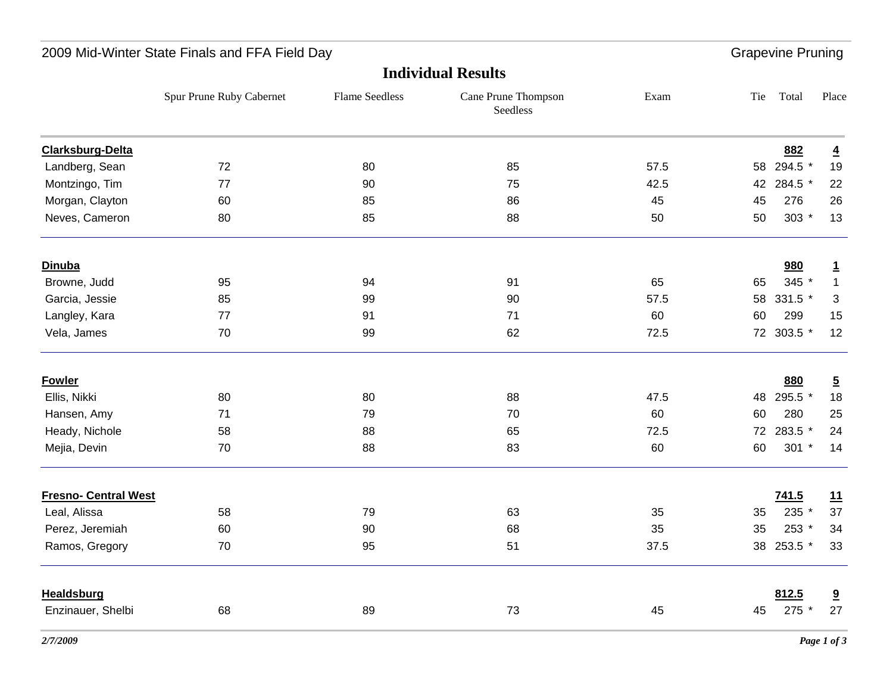|                             | <b>Individual Results</b> |                       |                                 |      |     |            |                         |
|-----------------------------|---------------------------|-----------------------|---------------------------------|------|-----|------------|-------------------------|
|                             | Spur Prune Ruby Cabernet  | <b>Flame Seedless</b> | Cane Prune Thompson<br>Seedless | Exam | Tie | Total      | Place                   |
| <b>Clarksburg-Delta</b>     |                           |                       |                                 |      |     | 882        | $\overline{4}$          |
| Landberg, Sean              | 72                        | 80                    | 85                              | 57.5 |     | 58 294.5 * | 19                      |
| Montzingo, Tim              | 77                        | 90                    | 75                              | 42.5 | 42  | 284.5 *    | 22                      |
| Morgan, Clayton             | 60                        | 85                    | 86                              | 45   | 45  | 276        | 26                      |
| Neves, Cameron              | 80                        | 85                    | 88                              | 50   | 50  | $303 *$    | 13                      |
| <b>Dinuba</b>               |                           |                       |                                 |      |     | 980        | $\overline{1}$          |
| Browne, Judd                | 95                        | 94                    | 91                              | 65   | 65  | 345 *      | $\mathbf{1}$            |
| Garcia, Jessie              | 85                        | 99                    | 90                              | 57.5 | 58  | 331.5 *    | 3                       |
| Langley, Kara               | 77                        | 91                    | 71                              | 60   | 60  | 299        | 15                      |
| Vela, James                 | 70                        | 99                    | 62                              | 72.5 |     | 72 303.5 * | 12                      |
| <b>Fowler</b>               |                           |                       |                                 |      |     | 880        | $\overline{5}$          |
| Ellis, Nikki                | 80                        | 80                    | 88                              | 47.5 | 48  | 295.5 *    | 18                      |
| Hansen, Amy                 | 71                        | 79                    | 70                              | 60   | 60  | 280        | 25                      |
| Heady, Nichole              | 58                        | 88                    | 65                              | 72.5 |     | 72 283.5 * | 24                      |
| Mejia, Devin                | 70                        | 88                    | 83                              | 60   | 60  | $301 *$    | 14                      |
| <b>Fresno- Central West</b> |                           |                       |                                 |      |     | 741.5      | 11                      |
| Leal, Alissa                | 58                        | 79                    | 63                              | 35   | 35  | 235 *      | 37                      |
| Perez, Jeremiah             | 60                        | 90                    | 68                              | 35   | 35  | 253 *      | 34                      |
| Ramos, Gregory              | 70                        | 95                    | 51                              | 37.5 |     | 38 253.5 * | 33                      |
| <b>Healdsburg</b>           |                           |                       |                                 |      |     | 812.5      | $\overline{\mathbf{a}}$ |
| Enzinauer, Shelbi           | 68                        | 89                    | 73                              | 45   | 45  | 275        | 27                      |
|                             |                           |                       |                                 |      |     |            |                         |

### 2009 Mid-Winter State Finals and FFA Field Day **Grapevine Pruning** Crapevine Pruning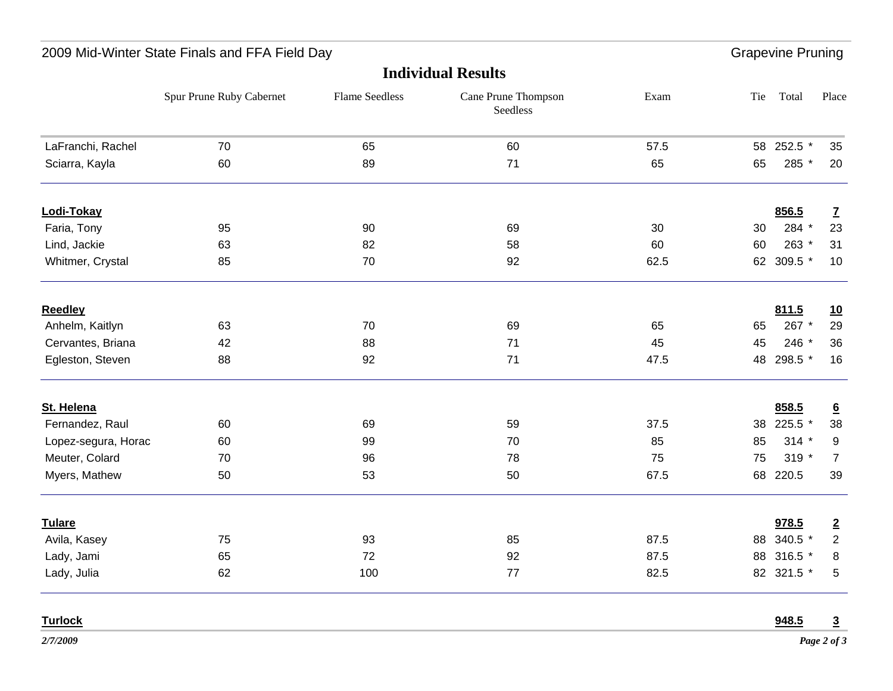|                     | <b>Individual Results</b> |                       |                                 |      |     |            |                 |
|---------------------|---------------------------|-----------------------|---------------------------------|------|-----|------------|-----------------|
|                     | Spur Prune Ruby Cabernet  | <b>Flame Seedless</b> | Cane Prune Thompson<br>Seedless | Exam | Tie | Total      | Place           |
| LaFranchi, Rachel   | 70                        | 65                    | 60                              | 57.5 |     | 58 252.5 * | 35              |
| Sciarra, Kayla      | 60                        | 89                    | 71                              | 65   | 65  | 285 *      | 20              |
| Lodi-Tokay          |                           |                       |                                 |      |     | 856.5      | $\mathbf{Z}$    |
| Faria, Tony         | 95                        | 90                    | 69                              | 30   | 30  | 284 *      | 23              |
| Lind, Jackie        | 63                        | 82                    | 58                              | 60   | 60  | 263 *      | 31              |
| Whitmer, Crystal    | 85                        | 70                    | 92                              | 62.5 |     | 62 309.5 * | 10              |
| <b>Reedley</b>      |                           |                       |                                 |      |     | 811.5      | <u>10</u>       |
| Anhelm, Kaitlyn     | 63                        | 70                    | 69                              | 65   | 65  | 267 *      | 29              |
| Cervantes, Briana   | 42                        | 88                    | 71                              | 45   | 45  | 246 *      | 36              |
| Egleston, Steven    | 88                        | 92                    | 71                              | 47.5 | 48  | 298.5 *    | 16              |
| St. Helena          |                           |                       |                                 |      |     | 858.5      | $\underline{6}$ |
| Fernandez, Raul     | 60                        | 69                    | 59                              | 37.5 | 38  | 225.5 *    | 38              |
| Lopez-segura, Horac | 60                        | 99                    | 70                              | 85   | 85  | $314 *$    | 9               |
| Meuter, Colard      | 70                        | 96                    | 78                              | 75   | 75  | $319 *$    | $\overline{7}$  |
| Myers, Mathew       | 50                        | 53                    | 50                              | 67.5 | 68  | 220.5      | 39              |
| <b>Tulare</b>       |                           |                       |                                 |      |     | 978.5      | $\overline{2}$  |
| Avila, Kasey        | 75                        | 93                    | 85                              | 87.5 |     | 88 340.5 * | $\overline{2}$  |
| Lady, Jami          | 65                        | 72                    | 92                              | 87.5 |     | 88 316.5 * | 8               |
| Lady, Julia         | 62                        | 100                   | 77                              | 82.5 |     | 82 321.5 * | $\overline{5}$  |
| <b>Turlock</b>      |                           |                       |                                 |      |     | 948.5      | 3               |

2009 Mid-Winter State Finals and FFA Field Day **Grapevine Pruning** Crapevine Pruning